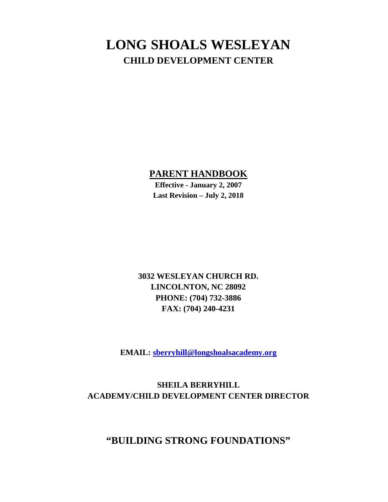#### **LONG SHOALS WESLEYAN CHILD DEVELOPMENT CENTER**

#### **PARENT HANDBOOK**

**Effective - January 2, 2007 Last Revision – July 2, 2018**

**3032 WESLEYAN CHURCH RD. LINCOLNTON, NC 28092 PHONE: (704) 732-3886 FAX: (704) 240-4231** 

**EMAIL: sberryhill@longshoalsacademy.org**

**SHEILA BERRYHILL ACADEMY/CHILD DEVELOPMENT CENTER DIRECTOR**

#### **"BUILDING STRONG FOUNDATIONS"**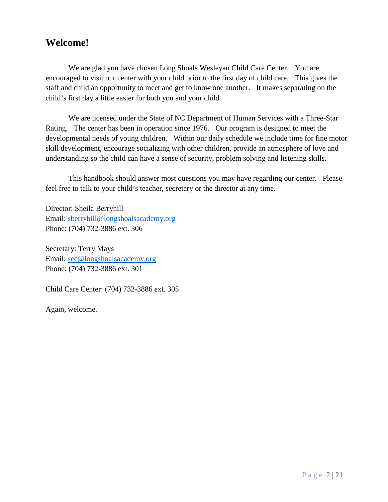#### **Welcome!**

We are glad you have chosen Long Shoals Wesleyan Child Care Center. You are encouraged to visit our center with your child prior to the first day of child care. This gives the staff and child an opportunity to meet and get to know one another. It makes separating on the child's first day a little easier for both you and your child.

We are licensed under the State of NC Department of Human Services with a Three-Star Rating. The center has been in operation since 1976. Our program is designed to meet the developmental needs of young children. Within our daily schedule we include time for fine motor skill development, encourage socializing with other children, provide an atmosphere of love and understanding so the child can have a sense of security, problem solving and listening skills.

This handbook should answer most questions you may have regarding our center. Please feel free to talk to your child's teacher, secretary or the director at any time.

Director: Sheila Berryhill Email: [sberryhill@longshoalsacademy.org](mailto:sberryhill@longshoalsacademy.org) Phone: (704) 732-3886 ext. 306

Secretary: Terry Mays Email: [sec@longshoalsacademy.org](mailto:sec@longshoalsacademy.org) Phone: (704) 732-3886 ext. 301

Child Care Center: (704) 732-3886 ext. 305

Again, welcome.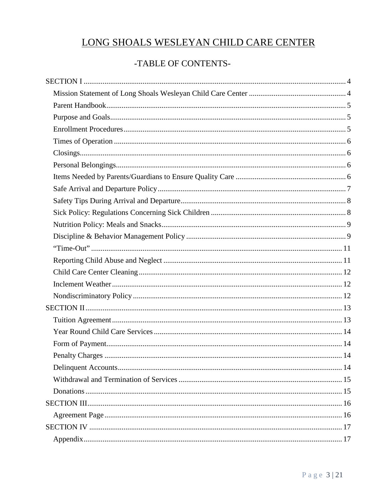#### LONG SHOALS WESLEYAN CHILD CARE CENTER

#### -TABLE OF CONTENTS-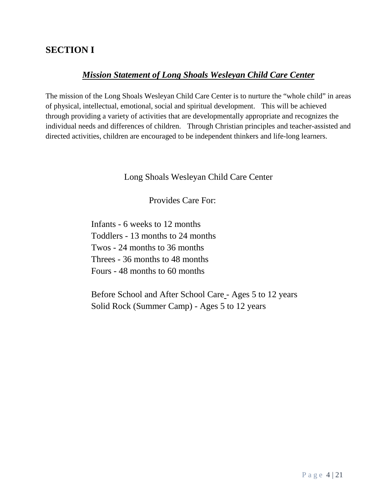#### <span id="page-3-1"></span><span id="page-3-0"></span>**SECTION I**

#### *Mission Statement of Long Shoals Wesleyan Child Care Center*

The mission of the Long Shoals Wesleyan Child Care Center is to nurture the "whole child" in areas of physical, intellectual, emotional, social and spiritual development. This will be achieved through providing a variety of activities that are developmentally appropriate and recognizes the individual needs and differences of children. Through Christian principles and teacher-assisted and directed activities, children are encouraged to be independent thinkers and life-long learners.

Long Shoals Wesleyan Child Care Center

Provides Care For:

Infants - 6 weeks to 12 months Toddlers - 13 months to 24 months Twos - 24 months to 36 months Threes - 36 months to 48 months Fours - 48 months to 60 months

Before School and After School Care - Ages 5 to 12 years Solid Rock (Summer Camp) - Ages 5 to 12 years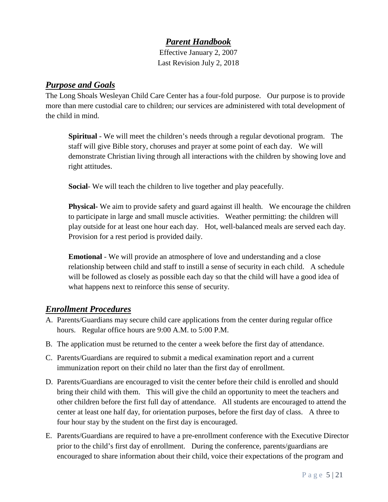#### *Parent Handbook*

Effective January 2, 2007 Last Revision July 2, 2018

#### <span id="page-4-1"></span><span id="page-4-0"></span>*Purpose and Goals*

The Long Shoals Wesleyan Child Care Center has a four-fold purpose. Our purpose is to provide more than mere custodial care to children; our services are administered with total development of the child in mind.

**Spiritual** - We will meet the children's needs through a regular devotional program. The staff will give Bible story, choruses and prayer at some point of each day. We will demonstrate Christian living through all interactions with the children by showing love and right attitudes.

**Social**- We will teach the children to live together and play peacefully.

**Physical-** We aim to provide safety and guard against ill health. We encourage the children to participate in large and small muscle activities. Weather permitting: the children will play outside for at least one hour each day. Hot, well-balanced meals are served each day. Provision for a rest period is provided daily.

**Emotional** - We will provide an atmosphere of love and understanding and a close relationship between child and staff to instill a sense of security in each child. A schedule will be followed as closely as possible each day so that the child will have a good idea of what happens next to reinforce this sense of security.

#### <span id="page-4-2"></span>*Enrollment Procedures*

- A. Parents/Guardians may secure child care applications from the center during regular office hours. Regular office hours are 9:00 A.M. to 5:00 P.M.
- B. The application must be returned to the center a week before the first day of attendance.
- C. Parents/Guardians are required to submit a medical examination report and a current immunization report on their child no later than the first day of enrollment.
- D. Parents/Guardians are encouraged to visit the center before their child is enrolled and should bring their child with them. This will give the child an opportunity to meet the teachers and other children before the first full day of attendance. All students are encouraged to attend the center at least one half day, for orientation purposes, before the first day of class. A three to four hour stay by the student on the first day is encouraged.
- E. Parents/Guardians are required to have a pre-enrollment conference with the Executive Director prior to the child's first day of enrollment. During the conference, parents/guardians are encouraged to share information about their child, voice their expectations of the program and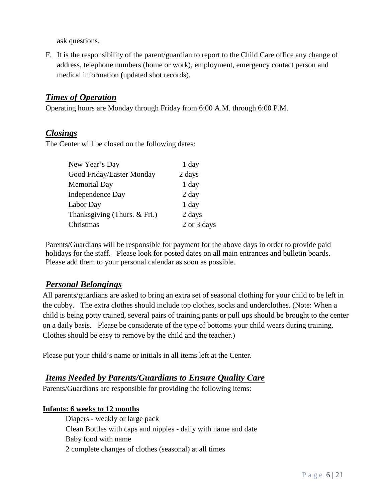ask questions.

F. It is the responsibility of the parent/guardian to report to the Child Care office any change of address, telephone numbers (home or work), employment, emergency contact person and medical information (updated shot records).

#### <span id="page-5-0"></span>*Times of Operation*

Operating hours are Monday through Friday from 6:00 A.M. through 6:00 P.M.

#### <span id="page-5-1"></span>*Closings*

The Center will be closed on the following dates:

| New Year's Day               | 1 day       |
|------------------------------|-------------|
| Good Friday/Easter Monday    | 2 days      |
| Memorial Day                 | $1$ day     |
| Independence Day             | $2 \, day$  |
| Labor Day                    | $1$ day     |
| Thanksgiving (Thurs. & Fri.) | 2 days      |
| Christmas                    | 2 or 3 days |

Parents/Guardians will be responsible for payment for the above days in order to provide paid holidays for the staff. Please look for posted dates on all main entrances and bulletin boards. Please add them to your personal calendar as soon as possible.

#### <span id="page-5-2"></span>*Personal Belongings*

All parents/guardians are asked to bring an extra set of seasonal clothing for your child to be left in the cubby. The extra clothes should include top clothes, socks and underclothes. (Note: When a child is being potty trained, several pairs of training pants or pull ups should be brought to the center on a daily basis. Please be considerate of the type of bottoms your child wears during training. Clothes should be easy to remove by the child and the teacher.)

Please put your child's name or initials in all items left at the Center.

#### <span id="page-5-3"></span>*Items Needed by Parents/Guardians to Ensure Quality Care*

Parents/Guardians are responsible for providing the following items:

#### **Infants: 6 weeks to 12 months**

Diapers - weekly or large pack Clean Bottles with caps and nipples - daily with name and date Baby food with name 2 complete changes of clothes (seasonal) at all times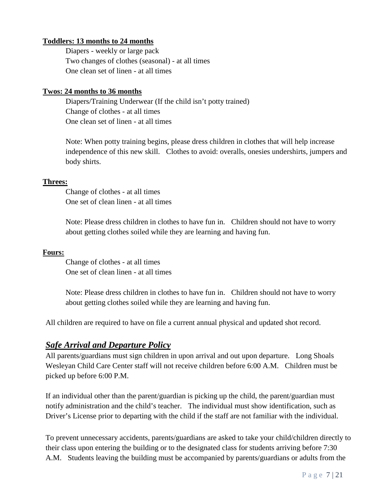#### **Toddlers: 13 months to 24 months**

Diapers - weekly or large pack Two changes of clothes (seasonal) - at all times One clean set of linen - at all times

#### **Twos: 24 months to 36 months**

Diapers/Training Underwear (If the child isn't potty trained) Change of clothes - at all times One clean set of linen - at all times

Note: When potty training begins, please dress children in clothes that will help increase independence of this new skill. Clothes to avoid: overalls, onesies undershirts, jumpers and body shirts.

#### **Threes:**

Change of clothes - at all times One set of clean linen - at all times

Note: Please dress children in clothes to have fun in. Children should not have to worry about getting clothes soiled while they are learning and having fun.

#### **Fours:**

Change of clothes - at all times One set of clean linen - at all times

Note: Please dress children in clothes to have fun in. Children should not have to worry about getting clothes soiled while they are learning and having fun.

All children are required to have on file a current annual physical and updated shot record.

#### <span id="page-6-0"></span>*Safe Arrival and Departure Policy*

All parents/guardians must sign children in upon arrival and out upon departure. Long Shoals Wesleyan Child Care Center staff will not receive children before 6:00 A.M. Children must be picked up before 6:00 P.M.

If an individual other than the parent/guardian is picking up the child, the parent/guardian must notify administration and the child's teacher. The individual must show identification, such as Driver's License prior to departing with the child if the staff are not familiar with the individual.

To prevent unnecessary accidents, parents/guardians are asked to take your child/children directly to their class upon entering the building or to the designated class for students arriving before 7:30 A.M. Students leaving the building must be accompanied by parents/guardians or adults from the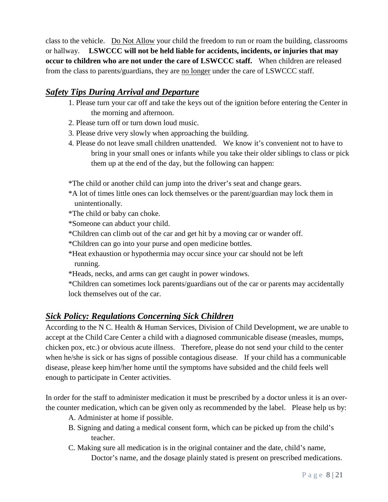class to the vehicle. Do Not Allow your child the freedom to run or roam the building, classrooms or hallway. **LSWCCC will not be held liable for accidents, incidents, or injuries that may occur to children who are not under the care of LSWCCC staff.** When children are released from the class to parents/guardians, they are no longer under the care of LSWCCC staff.

#### <span id="page-7-0"></span>*Safety Tips During Arrival and Departure*

- 1. Please turn your car off and take the keys out of the ignition before entering the Center in the morning and afternoon.
- 2. Please turn off or turn down loud music.
- 3. Please drive very slowly when approaching the building.
- 4. Please do not leave small children unattended. We know it's convenient not to have to bring in your small ones or infants while you take their older siblings to class or pick them up at the end of the day, but the following can happen:

\*The child or another child can jump into the driver's seat and change gears.

- \*A lot of times little ones can lock themselves or the parent/guardian may lock them in unintentionally.
- \*The child or baby can choke.
- \*Someone can abduct your child.
- \*Children can climb out of the car and get hit by a moving car or wander off.
- \*Children can go into your purse and open medicine bottles.
- \*Heat exhaustion or hypothermia may occur since your car should not be left running.
- \*Heads, necks, and arms can get caught in power windows.
- \*Children can sometimes lock parents/guardians out of the car or parents may accidentally lock themselves out of the car.

#### <span id="page-7-1"></span>*Sick Policy: Regulations Concerning Sick Children*

According to the N C. Health & Human Services, Division of Child Development, we are unable to accept at the Child Care Center a child with a diagnosed communicable disease (measles, mumps, chicken pox, etc.) or obvious acute illness. Therefore, please do not send your child to the center when he/she is sick or has signs of possible contagious disease. If your child has a communicable disease, please keep him/her home until the symptoms have subsided and the child feels well enough to participate in Center activities.

In order for the staff to administer medication it must be prescribed by a doctor unless it is an overthe counter medication, which can be given only as recommended by the label. Please help us by:

- A. Administer at home if possible.
- B. Signing and dating a medical consent form, which can be picked up from the child's teacher.
- C. Making sure all medication is in the original container and the date, child's name, Doctor's name, and the dosage plainly stated is present on prescribed medications.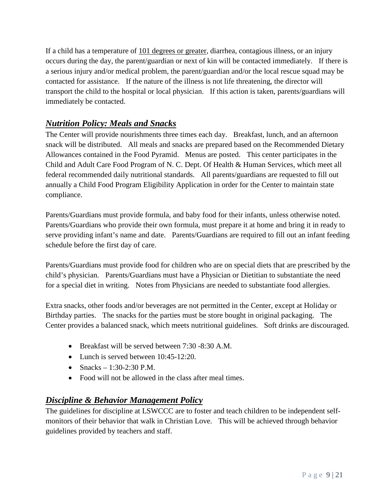If a child has a temperature of 101 degrees or greater, diarrhea, contagious illness, or an injury occurs during the day, the parent/guardian or next of kin will be contacted immediately. If there is a serious injury and/or medical problem, the parent/guardian and/or the local rescue squad may be contacted for assistance. If the nature of the illness is not life threatening, the director will transport the child to the hospital or local physician. If this action is taken, parents/guardians will immediately be contacted.

#### <span id="page-8-0"></span>*Nutrition Policy: Meals and Snacks*

The Center will provide nourishments three times each day. Breakfast, lunch, and an afternoon snack will be distributed. All meals and snacks are prepared based on the Recommended Dietary Allowances contained in the Food Pyramid. Menus are posted. This center participates in the Child and Adult Care Food Program of N. C. Dept. Of Health & Human Services, which meet all federal recommended daily nutritional standards. All parents/guardians are requested to fill out annually a Child Food Program Eligibility Application in order for the Center to maintain state compliance.

Parents/Guardians must provide formula, and baby food for their infants, unless otherwise noted. Parents/Guardians who provide their own formula, must prepare it at home and bring it in ready to serve providing infant's name and date. Parents/Guardians are required to fill out an infant feeding schedule before the first day of care.

Parents/Guardians must provide food for children who are on special diets that are prescribed by the child's physician. Parents/Guardians must have a Physician or Dietitian to substantiate the need for a special diet in writing. Notes from Physicians are needed to substantiate food allergies.

Extra snacks, other foods and/or beverages are not permitted in the Center, except at Holiday or Birthday parties. The snacks for the parties must be store bought in original packaging. The Center provides a balanced snack, which meets nutritional guidelines. Soft drinks are discouraged.

- Breakfast will be served between 7:30 -8:30 A.M.
- Lunch is served between 10:45-12:20.
- Snacks 1:30-2:30 P.M.
- Food will not be allowed in the class after meal times.

#### <span id="page-8-1"></span>*Discipline & Behavior Management Policy*

The guidelines for discipline at LSWCCC are to foster and teach children to be independent selfmonitors of their behavior that walk in Christian Love. This will be achieved through behavior guidelines provided by teachers and staff.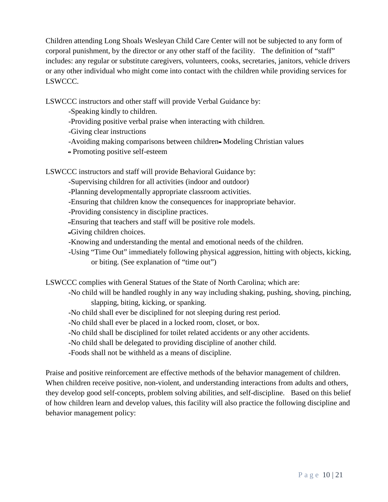Children attending Long Shoals Wesleyan Child Care Center will not be subjected to any form of corporal punishment, by the director or any other staff of the facility. The definition of "staff" includes: any regular or substitute caregivers, volunteers, cooks, secretaries, janitors, vehicle drivers or any other individual who might come into contact with the children while providing services for LSWCCC.

LSWCCC instructors and other staff will provide Verbal Guidance by:

-Speaking kindly to children.

-Providing positive verbal praise when interacting with children.

-Giving clear instructions

-Avoiding making comparisons between children-Modeling Christian values

Promoting positive self-esteem

LSWCCC instructors and staff will provide Behavioral Guidance by:

-Supervising children for all activities (indoor and outdoor)

-Planning developmentally appropriate classroom activities.

-Ensuring that children know the consequences for inappropriate behavior.

-Providing consistency in discipline practices.

Ensuring that teachers and staff will be positive role models.

Giving children choices.

-Knowing and understanding the mental and emotional needs of the children.

-Using "Time Out" immediately following physical aggression, hitting with objects, kicking, or biting. (See explanation of "time out")

LSWCCC complies with General Statues of the State of North Carolina; which are:

-No child will be handled roughly in any way including shaking, pushing, shoving, pinching, slapping, biting, kicking, or spanking.

-No child shall ever be disciplined for not sleeping during rest period.

-No child shall ever be placed in a locked room, closet, or box.

-No child shall be disciplined for toilet related accidents or any other accidents.

-No child shall be delegated to providing discipline of another child.

-Foods shall not be withheld as a means of discipline.

Praise and positive reinforcement are effective methods of the behavior management of children. When children receive positive, non-violent, and understanding interactions from adults and others, they develop good self-concepts, problem solving abilities, and self-discipline. Based on this belief of how children learn and develop values, this facility will also practice the following discipline and behavior management policy: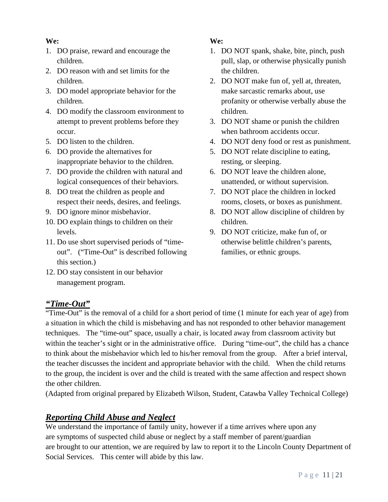#### **We:**

- 1. DO praise, reward and encourage the children.
- 2. DO reason with and set limits for the children.
- 3. DO model appropriate behavior for the children.
- 4. DO modify the classroom environment to attempt to prevent problems before they occur.
- 5. DO listen to the children.
- 6. DO provide the alternatives for inappropriate behavior to the children.
- 7. DO provide the children with natural and logical consequences of their behaviors.
- 8. DO treat the children as people and respect their needs, desires, and feelings.
- 9. DO ignore minor misbehavior.
- 10. DO explain things to children on their levels.
- 11. Do use short supervised periods of "timeout". ("Time-Out" is described following this section.)
- 12. DO stay consistent in our behavior management program.

#### **We:**

- 1. DO NOT spank, shake, bite, pinch, push pull, slap, or otherwise physically punish the children.
- 2. DO NOT make fun of, yell at, threaten, make sarcastic remarks about, use profanity or otherwise verbally abuse the children.
- 3. DO NOT shame or punish the children when bathroom accidents occur.
- 4. DO NOT deny food or rest as punishment.
- 5. DO NOT relate discipline to eating, resting, or sleeping.
- 6. DO NOT leave the children alone, unattended, or without supervision.
- 7. DO NOT place the children in locked rooms, closets, or boxes as punishment.
- 8. DO NOT allow discipline of children by children.
- 9. DO NOT criticize, make fun of, or otherwise belittle children's parents, families, or ethnic groups.

#### <span id="page-10-0"></span>*"Time-Out"*

"Time-Out" is the removal of a child for a short period of time (1 minute for each year of age) from a situation in which the child is misbehaving and has not responded to other behavior management techniques. The "time-out" space, usually a chair, is located away from classroom activity but within the teacher's sight or in the administrative office. During "time-out", the child has a chance to think about the misbehavior which led to his/her removal from the group. After a brief interval, the teacher discusses the incident and appropriate behavior with the child. When the child returns to the group, the incident is over and the child is treated with the same affection and respect shown the other children.

(Adapted from original prepared by Elizabeth Wilson, Student, Catawba Valley Technical College)

#### <span id="page-10-1"></span>*Reporting Child Abuse and Neglect*

We understand the importance of family unity, however if a time arrives where upon any are symptoms of suspected child abuse or neglect by a staff member of parent/guardian are brought to our attention, we are required by law to report it to the Lincoln County Department of Social Services. This center will abide by this law.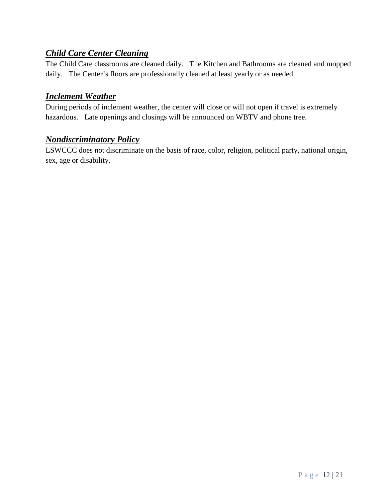#### <span id="page-11-0"></span>*Child Care Center Cleaning*

The Child Care classrooms are cleaned daily. The Kitchen and Bathrooms are cleaned and mopped daily. The Center's floors are professionally cleaned at least yearly or as needed.

#### <span id="page-11-1"></span>*Inclement Weather*

During periods of inclement weather, the center will close or will not open if travel is extremely hazardous. Late openings and closings will be announced on WBTV and phone tree.

#### <span id="page-11-2"></span>*Nondiscriminatory Policy*

LSWCCC does not discriminate on the basis of race, color, religion, political party, national origin, sex, age or disability.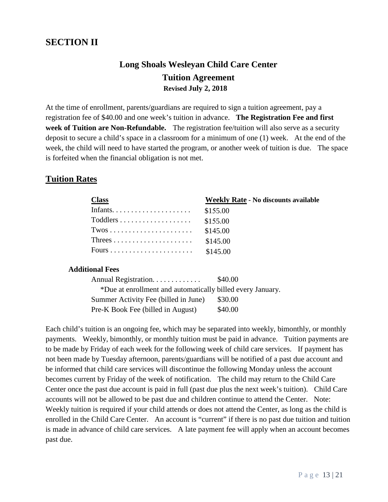#### <span id="page-12-1"></span><span id="page-12-0"></span>**SECTION II**

#### **Long Shoals Wesleyan Child Care Center Tuition Agreement Revised July 2, 2018**

At the time of enrollment, parents/guardians are required to sign a tuition agreement, pay a registration fee of \$40.00 and one week's tuition in advance. **The Registration Fee and first**  week of Tuition are Non-Refundable. The registration fee/tuition will also serve as a security deposit to secure a child's space in a classroom for a minimum of one (1) week. At the end of the week, the child will need to have started the program, or another week of tuition is due. The space is forfeited when the financial obligation is not met.

#### **Tuition Rates**

| <b>Class</b>                                            | <b>Weekly Rate - No discounts available</b> |
|---------------------------------------------------------|---------------------------------------------|
|                                                         | \$155.00                                    |
| $Toddlers \ldots \ldots \ldots \ldots \ldots \ldots$    | \$155.00                                    |
| $Twos \ldots \ldots \ldots \ldots \ldots \ldots \ldots$ | \$145.00                                    |
|                                                         | \$145.00                                    |
|                                                         | \$145.00                                    |

#### **Additional Fees**

| Annual Registration                                        | \$40.00 |
|------------------------------------------------------------|---------|
| *Due at enrollment and automatically billed every January. |         |
| Summer Activity Fee (billed in June)                       | \$30.00 |
| Pre-K Book Fee (billed in August)                          | \$40.00 |

Each child's tuition is an ongoing fee, which may be separated into weekly, bimonthly, or monthly payments. Weekly, bimonthly, or monthly tuition must be paid in advance. Tuition payments are to be made by Friday of each week for the following week of child care services. If payment has not been made by Tuesday afternoon, parents/guardians will be notified of a past due account and be informed that child care services will discontinue the following Monday unless the account becomes current by Friday of the week of notification. The child may return to the Child Care Center once the past due account is paid in full (past due plus the next week's tuition). Child Care accounts will not be allowed to be past due and children continue to attend the Center. Note: Weekly tuition is required if your child attends or does not attend the Center, as long as the child is enrolled in the Child Care Center. An account is "current" if there is no past due tuition and tuition is made in advance of child care services. A late payment fee will apply when an account becomes past due.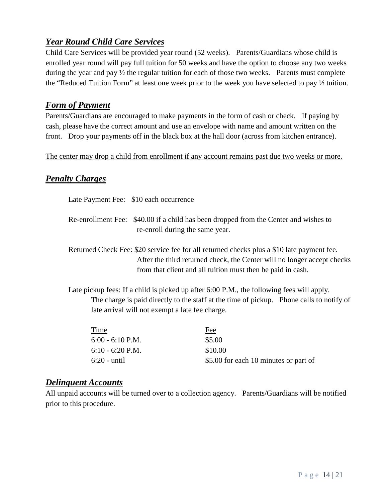#### <span id="page-13-0"></span>*Year Round Child Care Services*

Child Care Services will be provided year round (52 weeks). Parents/Guardians whose child is enrolled year round will pay full tuition for 50 weeks and have the option to choose any two weeks during the year and pay ½ the regular tuition for each of those two weeks. Parents must complete the "Reduced Tuition Form" at least one week prior to the week you have selected to pay ½ tuition.

#### <span id="page-13-1"></span>*Form of Payment*

Parents/Guardians are encouraged to make payments in the form of cash or check. If paying by cash, please have the correct amount and use an envelope with name and amount written on the front. Drop your payments off in the black box at the hall door (across from kitchen entrance).

The center may drop a child from enrollment if any account remains past due two weeks or more.

#### <span id="page-13-2"></span>*Penalty Charges*

|      | Late Payment Fee: \$10 each occurrence          |                                                                                                                                                                                       |                                                                         |
|------|-------------------------------------------------|---------------------------------------------------------------------------------------------------------------------------------------------------------------------------------------|-------------------------------------------------------------------------|
|      | re-enroll during the same year.                 | Re-enrollment Fee: \$40.00 if a child has been dropped from the Center and wishes to                                                                                                  |                                                                         |
|      |                                                 | Returned Check Fee: \$20 service fee for all returned checks plus a \$10 late payment fee.<br>from that client and all tuition must then be paid in cash.                             | After the third returned check, the Center will no longer accept checks |
|      | late arrival will not exempt a late fee charge. | Late pickup fees: If a child is picked up after 6:00 P.M., the following fees will apply.<br>The charge is paid directly to the staff at the time of pickup. Phone calls to notify of |                                                                         |
| Time |                                                 | Fee                                                                                                                                                                                   |                                                                         |

| Time               | Fee                                   |
|--------------------|---------------------------------------|
| $6:00 - 6:10$ P.M. | \$5.00                                |
| $6:10 - 6:20$ P.M. | \$10.00                               |
| $6:20$ - until     | \$5.00 for each 10 minutes or part of |
|                    |                                       |

#### <span id="page-13-3"></span>*Delinquent Accounts*

All unpaid accounts will be turned over to a collection agency. Parents/Guardians will be notified prior to this procedure.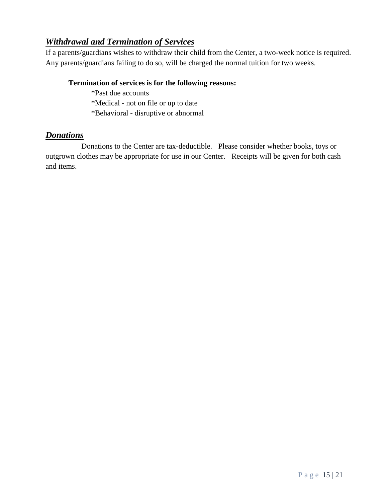#### <span id="page-14-0"></span>*Withdrawal and Termination of Services*

If a parents/guardians wishes to withdraw their child from the Center, a two-week notice is required. Any parents/guardians failing to do so, will be charged the normal tuition for two weeks.

#### **Termination of services is for the following reasons:**

\*Past due accounts

\*Medical - not on file or up to date

\*Behavioral - disruptive or abnormal

#### <span id="page-14-1"></span>*Donations*

Donations to the Center are tax-deductible. Please consider whether books, toys or outgrown clothes may be appropriate for use in our Center. Receipts will be given for both cash and items.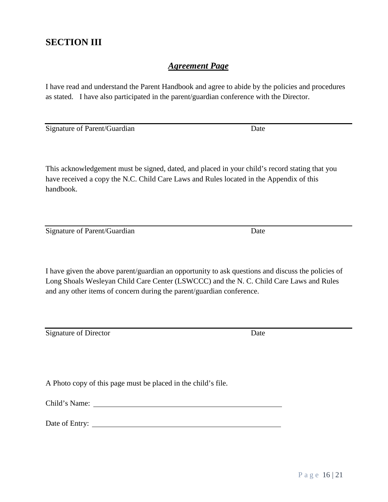#### <span id="page-15-1"></span><span id="page-15-0"></span>**SECTION III**

#### *Agreement Page*

I have read and understand the Parent Handbook and agree to abide by the policies and procedures as stated. I have also participated in the parent/guardian conference with the Director.

Signature of Parent/Guardian Date

This acknowledgement must be signed, dated, and placed in your child's record stating that you have received a copy the N.C. Child Care Laws and Rules located in the Appendix of this handbook.

Signature of Parent/Guardian Date

I have given the above parent/guardian an opportunity to ask questions and discuss the policies of Long Shoals Wesleyan Child Care Center (LSWCCC) and the N. C. Child Care Laws and Rules and any other items of concern during the parent/guardian conference.

Signature of Director Date

A Photo copy of this page must be placed in the child's file.

Child's Name:

Date of Entry: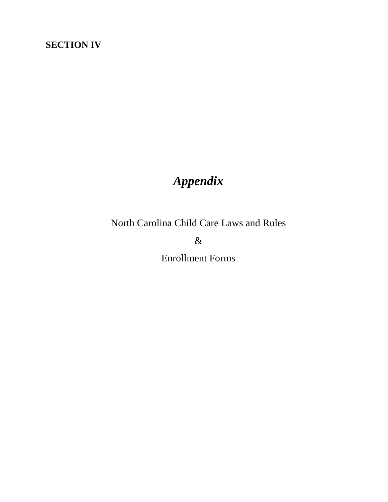#### <span id="page-16-0"></span>**SECTION IV**

#### *Appendix*

<span id="page-16-1"></span>North Carolina Child Care Laws and Rules

&

Enrollment Forms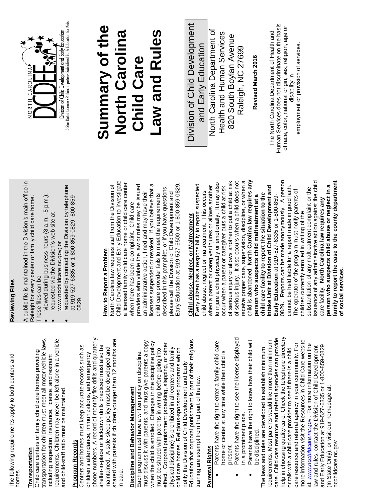| 5)                                             |          |
|------------------------------------------------|----------|
| )<br>}<br>}                                    |          |
| tollowing requirements and to hoth centers and |          |
| ė<br>i                                         | י היה הי |

### **Transportation** Transportation

transportation for children must meet all motor vehicle laws, equirements. Children may never be left alone in a vehicle requirements. Children may never be left alone in a vehicle ransportation for children must meet all motor vehicle laws, Child care centers or family child care homes providing Child care centers or family child care homes providing ncluding inspection, insurance, license, and restraint including inspection, insurance, license, and restraint and child-staff ratio must be maintained. and child-staff ratio must be maintained.

# **Program Records**

phone numbers. A record of monthly fire drills and quarterly shared with parents if children younger than 12 months are phone numbers. A record of monthly fire drills and quarterly shared with parents if children younger than 12 months are Program Records<br>Centers and homes must keep accurate records such as Centers and homes must keep accurate records such as shelter-in-place or lockdown drills practiced must also be shelter-in-place or lockdown drills practiced must also be maintained. A safe sleep policy must be developed and maintained. A safe sleep policy must be developed and children's attendance, immunizations, and emergency children's attendance, immunizations, and emergency in care.

# **Discipline and Behavior Management**  Discipline and Behavior Management

Education that corporal punishment is part of their religious Education that corporal punishment is part of their religious must discuss it with parents, and must give parents a copy when the child is enrolled. Changes in the discipline policy must discuss it with parents, and must give parents a copy when the child is enrolled. Changes in the discipline policy effect. Corporal punishment (spanking, slapping, or other effect. Corporal punishment (spanking, slapping, or other physical discipline) is prohibited in all centers and family physical discipline) is prohibited in all centers and family must be shared with parents in writing before going into must be shared with parents in writing before going into child care homes. Religious-sponsored programs which child care homes. Religious-sponsored programs which Each program must have a written policy on discipline, Each program must have a written policy on discipline, notify the Division of Child Development and Early notify the Division of Child Development and Early training are exempt from that part of the law. training are exempt from that part of the law.

## Parental Rights **Parental Rights**

- Parents have the right to enter a family child care Parents have the right to enter a family child care nome or center at any time while their child is home or center at any time while their child is present.  $\bullet$
- Parents have the right to see the license displayed Parents have the right to see the license displayed in a prominent place. in a prominent place.
	- Parents have the right to know how their child will Parents have the right to know how their child will be disciplined. be disciplined.

help in choosing quality care. Check the telephone directory care. Child care resource and referral agencies can provide care. Child care resource and referral agencies can provide help in choosing quality care. Check the telephone directory requirements. Most parents would like more than minimum more information visit the Resources in Child Care website more information visit the Resources in Child Care website requirements. Most parents would like more than minimum care resource and referral agency in your community. For care resource and referral agency in your community. For at: www.ncchildcare.nc.gov. For more information on the at: *[www.ncchildcare.nc](http://www.ncchildcare.nc.gov/)*.gov . For more information on the law and rules, contact the Division of Child Development law and rules, contact the Division of Child Development and Early Education at 919-527-6335 or 1-800-859-0829 and Early Education at 919-527-6335 or 1-800-859-0829 The laws and rules are developed to establish minimum The laws and rules are developed to establish minimum or talk with a child care provider to see if there is a child or talk with a child care provider to see if there is a child (In State Only), or visit our homepage at: (In State Only), or visit our homepage at: ncchildcare.nc.gov ncchildcare.nc.gov

## **Reviewing Files Reviewing Files**

A public file is maintained in the Division's main office in A public file is maintained in the Division's main office in Raleigh for every center or family child care home. Raleigh for every center or family child care home. These files can be These files can be

- viewed during business hours (8 a.m. -5 p.m.); viewed during business hours (8 a.m. -5 p.m.); requested via the Division's web site at
	- requested via the Division's web site at [www.ncchildcare.nc](http://www.ncchildcare.n/).gov; or www.ncchildcare.nc.gov; or
- requested by contacting the Division by telephone requested by contacting the Division by telephone at 919-527-6335 or 1-800-859-0829 -800-859 at 919-527-6335 or 1-800-859-0829 -800-859-0829.

# How to Report a Problem **How to Report a Problem**

Child Development and Early Education to investigate Child Development and Early Education to investigate a licensed family child care home or child care center a licensed family child care home or child care center icenses suspended or revoked. If you believe that a licenses suspended or revoked. If you believe that a North Carolina law requires staff from the Division of providers who violate the law or rules may be issued providers who violate the law or rules may be issued Early Education at 919-527-6500 or 1-800-859-0829. North Carolina law requires staff from the Division of described in this pamphlet, or if you have questions, Early Education at 919-527-6500 or 1-800-859-0829 described in this pamphlet, or if you have questions, an administrative action, fined and may have their an administrative action, fined and may have their please call the Division of Child Development and please call the Division of Child Development and child care provider fails to meet the requirements child care provider fails to meet the requirements when there has been a complaint. Child care when there has been a complaint. Child care

# Child Abuse, Neglect, or Maltreatment **Child Abuse, Neglect, or Maltreatment**

child is abandoned. **North Carolina law requires any**  0829**.** Reports can be made anonymously. A person of serious injury or allows another to put a child at risk receive proper care, supervision, discipline, or when a issuance of any administrative action against the child **family to report the case to the county department**  of serious injury. It also occurs when a child does not of serious injury. It also occurs when a child does not receive proper care, supervision, discipline, or when a child is abandoned. North Carolina law requires any 0829. Reports can be made anonymously. A person ssuance of any administrative action against the child family to report the case to the county department to injure a child physically or emotionally. It may also of serious injury or allows another to put a child at risk to injure a child physically or emotionally. It may also Every citizen has a responsibility to report suspected **Intake Unit at Division of Child Development and**  cannot be held liable for a report made in good faith. **person who suspects child abuse or neglect in a**  Every citizen has a responsibility to report suspected when a parent or caregiver injures or allows another when a parent or caregiver injures or allows another Intake Unit at Division of Child Development and cannot be held liable for a report made in good faith. person who suspects child abuse or neglect in a occur when a parent or caregiver puts a child at risk occur when a parent or caregiver puts a child at risk substantiation of any maltreatment complaint or the substantiation of any maltreatment complaint or the The operator of the program must notify parents of The operator of the program must notify parents of child abuse, neglect or maltreatment. This occurs child abuse, neglect or maltreatment. This occurs child care facility to report the situation to the **child care facility to report the situation to the person who suspects child maltreatment at a**  person who suspects child maltreatment at a Early Education at 919-527-6335 or 1-800-859-**Early Education** at 919-527-6335 or 1-800-859 care facility. **North Carolina law requires any**  care facility. North Carolina law requires any children currently enrolled in writing of the children currently enrolled in writing of the **of social services.** of social services



#### **Summary of the**  Summary of the aw and Rules **North Carolina Law and Rules North Carolina Child Care Child Care**

Division of Child Development Division of Child Development North Carolina Department of North Carolina Department of Health and Human Services Health and Human Services 820 South Boylan Avenue 820 South Boylan Avenue and Early Education and Early Education Raleigh, NC 27699 Raleigh, NC 27699

Revised March 2016 **Revised March 2016**

Human Services does not discriminate on the basis Human Services does not discriminate on the basis of race, color, national origin, sex, religion, age or of race, color, national origin, sex, religion, age or The North Carolina Department of Health and The North Carolina Department of Health and employment or provision of services. employment or provision of services.disability in disability in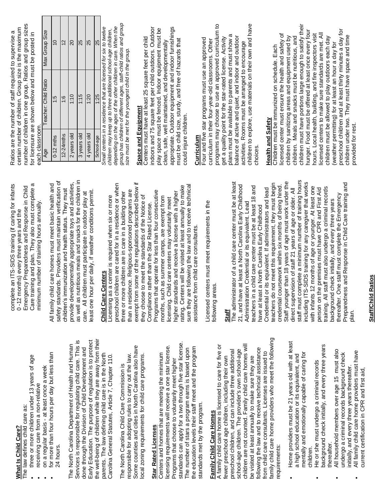| programs may choose to use an approved curriculum to<br>indoors and 75 square feet per child outdoors. Outdoor<br>appropriate. Outdoor equipment and indoor furnishings<br>play space must be fenced. Indoor equipment must be<br>plans must be available to parents and must show a<br>balance of active and quiet, and indoor and outdoor<br>Centers must have at least 25 square feet per child<br>get a quality point for the star-rated license. Activity<br>Four and five star programs must use an approved<br>must be child size, sturdy, and free of hazards that<br>curriculum in their four-year-old classrooms. Other<br>clean, safe, well maintained, and developmentally<br>size must be met for the youngest child in the group.<br>Space and Equipment<br>could injure children.<br><b>Curriculum</b><br>Id care center must be at least<br>regulations described below if<br>aw and to receive technical<br>ted at least annually to make<br>are smangored programs<br>less than four consecutive<br>aive a license with a higher<br>in care in a building other<br>tandards of the Notice of<br>camps, are exempt from<br>ers may voluntarily meet<br>eet requirements in the<br>le Star Rated License.<br>e consultants. |
|---------------------------------------------------------------------------------------------------------------------------------------------------------------------------------------------------------------------------------------------------------------------------------------------------------------------------------------------------------------------------------------------------------------------------------------------------------------------------------------------------------------------------------------------------------------------------------------------------------------------------------------------------------------------------------------------------------------------------------------------------------------------------------------------------------------------------------------------------------------------------------------------------------------------------------------------------------------------------------------------------------------------------------------------------------------------------------------------------------------------------------------------------------------------------------------------------------------------------------------------|
| orth Carolina Early Childhood                                                                                                                                                                                                                                                                                                                                                                                                                                                                                                                                                                                                                                                                                                                                                                                                                                                                                                                                                                                                                                                                                                                                                                                                               |

Care training and plan. They also must complete a complete an ITS-SIDS training (if caring for infants Emergency Preparedness and Response in Child minimum number of training hours annually. 0 -12 months) every three years and the complete an ITS-SID Emergency Prepared Care training and pla  $0 - 12$  months) every minimum number of t

> **What Is Child Care?** The law defines child care as:

What Is Child Care?

The law defines child care as:

three or more children under 13 years of age

three or more children under 13 years of age

 receiving care from a non-relative on a regular basis - at least once a week for more than four hours per day but less than

receiving care from a non-relative

24 hours.

for more than four hours per day but less than

on a regular basis - at least once a week

The North Carolina Department of Health and Human Services is responsible for regulating child care. This is done through the Division of Child Development and

The North Carolina Department of Health and Human

Services is responsible for regulating child care. This is

done through the Division of Child Development and

as well as nutritious meals and snacks for the children in safety standards. Providers must maintain verification of provide developmentally appropriate toys and activities, All family child care homes must meet basic health and children's immunization and health status. They must least one hour per daily, if weather conditions permit. care. All children must participate in outdoor play at All family child care home safety standards. Provider children's immunization a provide developmentally a care. All children must pa east one hour per daily, if as well as nutritious meal

# **Child Care Centers Child Care Centers**

exempt from some of the regulations described below if preschool children are cared for in a residence or when sure they are following the law and to receive technical rating. Centers will be visited at least annually to make than a residence. Religious-sponsored programs are Programs that operate for less than four consecutive three or more children are in care in a building other higher standards and receive a license with a higher Licensing as a center is required when six or more they choose to meet the standards of the Notice of months, such as summer camps, are exempt from licensing. Child care centers may voluntarily meet Compliance rather than the Star Rated License. assistance from child care consultants. Licensing as a center is re preschool children are car three or more children are than a residence. Religiou they choose to meet the s Compliance rather than th Programs that operate for icensing. Child care cente nigher standards and rece ating. Centers will be visi sure they are following the assistance from child care exempt from some of the months, such as summer

Licensed centers must meet requirements in the Licensed centers must me following areas. following areas.

### **Staff**

staff must complete a minimum number of training hours The administrator of a child care center must be at least Staff younger than 18 years of age must work under the including ITS-SIDS training for any caregiver that works Preparedness and Response in Child Care training and teachers do not meet this requirement, they must begin credential coursework within six months of being hired. 21, and have at least a North Carolina Early Childhood teachers in a child care center must be at least 18 and with infants 12 months of age or younger. At least one training. All staff must also undergo a criminal records Credential or its equivalent. If administrators and lead direct supervision of staff 21 years of age or older. All person on the premises must have CPR and First Aid thereafter. One staff must complete the Emergency background check initially, and every three years Administration Credential or its equivalent. Lead have at least a North Carolina Early Childhood 21, and have at least a No **Administration Credential** teachers in a child care ce nave at least a North Card Credential or its equivaler eachers do not meet this Staff younger than 18 yea staff must complete a min berson on the premises m raining. All staff must also background check initially hereafter. One staff must Preparedness and Respo The administrator of a chi credential coursework wit direct supervision of staff ncluding ITS-SIDS trainin with infants 12 months of plan.

the well-being of children while they are away from their Early Education. The purpose of regulation is to protect the well-being of children while they are away from their Early Education. The purpose of regulation is to protect parents. The law defining child care is in the North parents. The law defining child care is in the North Carolina General Statutes, Article 7, Chapter 110. Carolina General Statutes, Article 7, Chapter 110. The North Carolina Child Care Commission is The North Carolina Child Care Commission is

Some counties and cities in North Carolina also have Some counties and cities in North Carolina also have responsible for adopting rules to carry out the law. responsible for adopting rules to carry out the law. ocal zoning requirements for child care programs. local zoning requirements for child care programs.

# **Star Rated Licenses Star Rated Licenses**

standards can apply for a two through five star license. standards can apply for a two through five star license. licensing requirements will receive a one star license. the education levels their staff meet and the program icensing requirements will receive a one star license. the education levels their staff meet and the program The number of stars a program earns is based upon The number of stars a program earns is based upon Centers and homes that are meeting the minimum Centers and homes that are meeting the minimum Programs that choose to voluntarily meet higher Programs that choose to voluntarily meet higher standards met by the program. standards met by the program.

# Family Child Care Homes **Family Child Care Homes**

family child care home providers who meet the following amily child care home providers who meet the following children are not counted. Family child care homes will A family child care home is licensed to care for five or children are not counted. Family child care homes will A family child care home is licensed to care for five or following the law and to receive technical assistance ollowing the law and to receive technical assistance school-age children. The provider's own school-age preschool children, and can include three additional preschool children, and can include three additional school-age children. The provider's own school-age from child care consultants. Licenses are issued to from child care consultants. Licenses are issued to fewer preschool age children, including their own be visited at least annually to make sure they are ewer preschool age children, including their own be visited at least annually to make sure they are requirements: requirements:

- Home providers must be 21 years old with at least Home providers must be 21 years old with at least mentally and emotionally capable of caring for a high school education or its equivalent, and mentally and emotionally capable of caring for a high school education or its equivalent, and children.
	- background check initially, and every three years background check initially, and every three years thereafter.<br>All household members over age 15 must also He or she must undergo a criminal records He or she must undergo a criminal records
		- All household members over age 15 must also All family child care home providers must have All family child care home providers must have undergo a criminal records background check undergo a criminal records background check nitially, and every three years thereafter. initially, and every three years thereafter. current certification in CPR and first aid, current certification in CPR and first aid,
- **Staff/Child Ratios Staff/Child Ratios**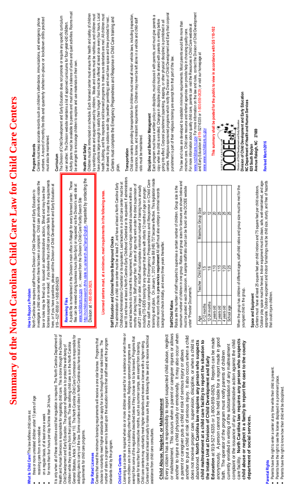| It is only when all of these conditions exist that regulation is required. The North Carolina Department of<br>Health and Human Services is responsible for regulating child care. This is done through the Division of<br>for more than four hours per day but less than 24 hours.<br>three or more unrelated children under 13 years of age<br>What Is Child Care? The law defines child care as:<br>on a regular basis, of at least once a week<br>from a non-relative<br>receiving care                                                                        | 919-6527-6500 or 1-800-859-0829<br>How to Report a Problem |                                                                                                                                                                                                                                   | licenses suspended or revoked. If you believe that a child care provider fails to meet the requirements<br>investigate a child care center when there has been a complaint. Child care providers who violate the<br>here, or if you have questions, please call the Division of Child Development and Early Education at<br>law or rules may be fined up to issued an administrative action, \$fined and may have their<br>North Carolina law requires staff from the Division of Child Development and Early Education to                                                                                       | numbers. A record of monthly fire drills and quarterly shelter-in-place or lockdown drills practiced<br>Centers must keep accurate records such as children's attendance, immunizations, and emergency phone<br>must also be maintained<br>Program Records<br>Curriculum                                                                                                                                                                                                                                                                                                                                                                                               |
|--------------------------------------------------------------------------------------------------------------------------------------------------------------------------------------------------------------------------------------------------------------------------------------------------------------------------------------------------------------------------------------------------------------------------------------------------------------------------------------------------------------------------------------------------------------------|------------------------------------------------------------|-----------------------------------------------------------------------------------------------------------------------------------------------------------------------------------------------------------------------------------|------------------------------------------------------------------------------------------------------------------------------------------------------------------------------------------------------------------------------------------------------------------------------------------------------------------------------------------------------------------------------------------------------------------------------------------------------------------------------------------------------------------------------------------------------------------------------------------------------------------|------------------------------------------------------------------------------------------------------------------------------------------------------------------------------------------------------------------------------------------------------------------------------------------------------------------------------------------------------------------------------------------------------------------------------------------------------------------------------------------------------------------------------------------------------------------------------------------------------------------------------------------------------------------------|
| General Statutes, Article 7, Chapter 110. The North Carolina Child Care Commission is responsible for<br>adopting rules to carry out the law. Some counties and cities in North Carolina also have local zoning<br>children while they are away from their parents. The law defining child care is in the North Carolina<br>Child Development and Early Education. The purpose of regulation is to protect the well-being of<br>requirements for child care programs.                                                                                              | Reviewing Files                                            | www.nchildcare.nc.gov_or, ; viewed from the Division's Child Care Facility Search Site<br>A public file is maintained in the Division's main office in Raleigh<br>http://ncchildcaresearch.dhhs.state.nc.us/search.asp?lang=Engli | ish, requested by contacting the<br>These<br>files can be viewed during business hours (8am-5pm) or requested via the Division's web site at<br>for every licensed center.                                                                                                                                                                                                                                                                                                                                                                                                                                       | Activity plans must be available to parents and must show a balance of active and quiet activities. Rooms must<br>The Division of Child Development and Early Education does not promote or require any specific curriculum<br>over another. The Division website maintains a list of approved curriculums for four-year-old children.<br>be arranged to encourage children to explore and use materials on their own.<br>Health and Safety                                                                                                                                                                                                                            |
| number of stars a program eams is based upon the education levels their staff meet and the program<br>Centers that meet the minimum licensing requirements will receive a one star license. Programs that<br>meet higher standards can apply for a two through five star rated license. The<br>program.<br><b>Star Rated Licenses</b><br>standards met by the<br>choose to voluntarily                                                                                                                                                                             | Division at 1-800-859-0829.                                | Staff Education and Criminal Records Background Checks                                                                                                                                                                            | Licensed centers must, at a minimum, meet requirements in the following areas.                                                                                                                                                                                                                                                                                                                                                                                                                                                                                                                                   | Children must be immunized on schedule. Each licensed center must ensure the health and safety of children<br>have portions large enough to satisfy their hunger. Food must be offered at least once every four hours. Local<br>by sanitizing areas and equipment used by children. Meals and snacks must be nutritious, and children must<br>health, building, and fire inspectors visit licensed programs to make sure standards are met. All children must<br>be allowed to play outdoors each day (weather permitting) and must have space and time provided for rest.<br>Centers must complete the Emergency Preparedness and Response in Child Care training and |
| Licensing as a center is required when six or more children are cared for in a residence or when three or<br>exempt from some of the regulations described below if they choose not to be licensed. Programs that<br>four consecutive months, such as summer camps, are exempt from licensing.<br>Child care centers may voluntarily meet higher standards and receive a license with a higher rating<br>care in a building other than a residence. Religious-sponsored programs are<br>operate for less than<br><b>Child Care Centers</b><br>more children are in |                                                            | Childhood Administration Credential or its equivalent. Lead teachers<br>least 18 and have at least a North Carolina Early Childhood Credent                                                                                       | tial or its equivalent. If administrators<br>in a child care center must be at<br>The administrator of a child care center must be at least 21, and have at least a North Carolina Early<br>months of being hired. Staff younger than 18 years of age must work under the direct supervision of<br>staff 21 years of age or older. All staff must complete a minimum number of training hours annually<br>and lead teachers do not meet this requirement, they must begin credential coursework within six<br>including ITS-SIDS training for any caregiver that works with infants 12 months of age or younger. | Child care centers providing transportation for children must meet all motor vehicle laws, including inspection,<br>insurance, license, and restraint requirements. Children may never be left alone in a vehicle and child-staff<br>atio must be maintained<br>Transportation<br>plan.                                                                                                                                                                                                                                                                                                                                                                                |
| or maltreatment. This occurs when a parent or caregiver injures or allows<br>Every citizen has a responsibility to report suspected child abuse, neglect<br>Centers will be visited at least annually to make sure they are following the law and to receive technical<br>, Neglect, or Maltreatment<br>care consultants.<br>assistance from child<br><b>Child Abuse</b>                                                                                                                                                                                           | Staff/Child Ratios                                         | background check initially, and every three years thereafter.                                                                                                                                                                     | training and plan. On January 1, 2013 House Bill (HB) 737 became effective. This legislation made<br>One staff must complete the Emergency Preparedness and Response in Child Care<br>criminal record checks a pre-service requirement All staff must also undergo a criminal records                                                                                                                                                                                                                                                                                                                            | going into effect. Corporal punishment (spanking, slapping, or other physical discipline) is prohibited in all<br>centers. Religious-sponsored programs which notify the Division of Child Development and Early that corporal<br>a<br>Each program must have a written policy on discipline, must discuss it with parents, and must give parents<br>copy when the child is enrolled. Changes in discipline policy must be shared with parents in writing before<br>punishment is part of their religious training are exempt from that part of the law.<br>Discipline and Behavior Management                                                                         |
| another to injure a child physically or emotionally. It may also occur when<br>another to put a child at risk of serious injury. It also occurs when a child<br>does not receive proper care, supervision, discipline, or when a child is<br>a parent or caregiver puts a child at risk of serious injury or allows                                                                                                                                                                                                                                                | under "Provider Documents."                                |                                                                                                                                                                                                                                   | maximum number of children in one group. Ratios and group sizes for licensure are shown below and<br>must be posted in each dassroom. A sample staff/ratio chart can be found on the DCDEE website<br>Ratios are the number of staff required to supervise a certain number of children. Group size is the                                                                                                                                                                                                                                                                                                       | www.ncchildcare.nc.gov For more information on the law and rules, contact the Division of Child Development<br>The law and rules are developed to establish minimum requirements. Most parents would like more than<br>For more information about quality child care, parents can visit the Resources in Child Care website at<br>minimum care. Child care resource and referral agencies can provide help in choosing quality care.                                                                                                                                                                                                                                   |
| child maltreatment at a child care facility to report the situation to<br>North Carolina law requires any person who suspects<br>nit at Division of Child Development and Early<br>abandoned.                                                                                                                                                                                                                                                                                                                                                                      | $0-12$ months<br>Age                                       | Teacher: Child Ratio<br>ć.,                                                                                                                                                                                                       | Maximum Group Size<br>$\cong$                                                                                                                                                                                                                                                                                                                                                                                                                                                                                                                                                                                    | and Early Education at 919-527-6335 or 1-800-859-0829; or visit our homepage at<br>www.www.ncchildcare.nc.gov                                                                                                                                                                                                                                                                                                                                                                                                                                                                                                                                                          |
| Education at 919-527-6335 or 1-800-859-0829. Reports can be made<br>the Intake U                                                                                                                                                                                                                                                                                                                                                                                                                                                                                   | 12-24 months<br>2 years old                                | 0:1<br>$\frac{6}{1}$                                                                                                                                                                                                              | 12<br>20                                                                                                                                                                                                                                                                                                                                                                                                                                                                                                                                                                                                         | This summary shall be posted for the public to view in accordance with GS 110-102                                                                                                                                                                                                                                                                                                                                                                                                                                                                                                                                                                                      |
| anonymously. A person cannot be held liable for a report made in good<br>faith. The operator of the program must notify parents of children                                                                                                                                                                                                                                                                                                                                                                                                                        | 3 years old<br>4 years old                                 | 1:15<br>1:20                                                                                                                                                                                                                      | 25<br>25                                                                                                                                                                                                                                                                                                                                                                                                                                                                                                                                                                                                         |                                                                                                                                                                                                                                                                                                                                                                                                                                                                                                                                                                                                                                                                        |
| North Carolina law requires any person who suspects<br>the issuance of any administrative action against the child<br>or neglect in a family to report the case to the county<br>currently enrolled in writing of the substantiation of any maltreatment<br>complaint or<br>child abuse<br>care facility.                                                                                                                                                                                                                                                          | youngest child in the group.<br>School age                 | When the group has children of different ages, staff-child ratios and<br>1:25                                                                                                                                                     | group size must be met for the<br>25                                                                                                                                                                                                                                                                                                                                                                                                                                                                                                                                                                             | Division of Child Development and Early Education                                                                                                                                                                                                                                                                                                                                                                                                                                                                                                                                                                                                                      |
| of social services.<br>department<br><b>Parental Rights</b>                                                                                                                                                                                                                                                                                                                                                                                                                                                                                                        | that could injure children.<br>Space and Equipment         |                                                                                                                                                                                                                                   | Outdoor play space must be fenced. Indoor equipment must be clean, safe, well-maintained, and age-<br>appropriate. Outdoor equipment and indoor furnishings must be child size, sturdy, and free of hazards<br>Centers must have at least 25 square feet per child indoors and 75 square feet per child outdoors.                                                                                                                                                                                                                                                                                                | NC Department of Health and Human Services<br>27669<br>Avenue Raleigh, NC<br>Revised March2016<br>820 South Boylan                                                                                                                                                                                                                                                                                                                                                                                                                                                                                                                                                     |
| right to enter a center at any time while their child is present.<br>right to see the license displayed in a prominent place.<br>right to know how their child will be disciplined.<br>Parents have the<br>Parents have the<br>Parents have the                                                                                                                                                                                                                                                                                                                    |                                                            |                                                                                                                                                                                                                                   |                                                                                                                                                                                                                                                                                                                                                                                                                                                                                                                                                                                                                  |                                                                                                                                                                                                                                                                                                                                                                                                                                                                                                                                                                                                                                                                        |

**Summary of the North Carolina Child Care Law for Child Care Centers** 

Summary of the North Carolina Child Care Law for Child Care Centers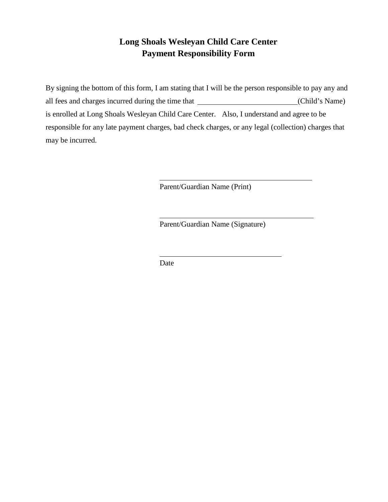#### **Long Shoals Wesleyan Child Care Center Payment Responsibility Form**

By signing the bottom of this form, I am stating that I will be the person responsible to pay any and all fees and charges incurred during the time that (Child's Name) is enrolled at Long Shoals Wesleyan Child Care Center. Also, I understand and agree to be responsible for any late payment charges, bad check charges, or any legal (collection) charges that may be incurred.

Parent/Guardian Name (Print)

Parent/Guardian Name (Signature)

Date

 $\overline{a}$ 

 $\overline{a}$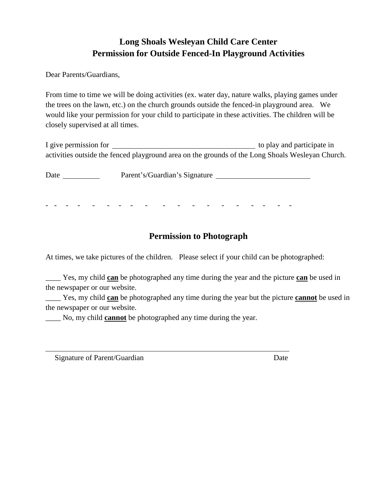#### **Long Shoals Wesleyan Child Care Center Permission for Outside Fenced-In Playground Activities**

Dear Parents/Guardians,

From time to time we will be doing activities (ex. water day, nature walks, playing games under the trees on the lawn, etc.) on the church grounds outside the fenced-in playground area. We would like your permission for your child to participate in these activities. The children will be closely supervised at all times.

| I give permission for |                                                                                                  |  | to play and participate in |  |
|-----------------------|--------------------------------------------------------------------------------------------------|--|----------------------------|--|
|                       | activities outside the fenced playground area on the grounds of the Long Shoals Wesleyan Church. |  |                            |  |

Date Parent's/Guardian's Signature

#### - - - - - - - - - - - - - - - - - - -

#### **Permission to Photograph**

At times, we take pictures of the children. Please select if your child can be photographed:

\_\_\_\_ Yes, my child **can** be photographed any time during the year and the picture **can** be used in the newspaper or our website.

\_\_\_\_ Yes, my child **can** be photographed any time during the year but the picture **cannot** be used in the newspaper or our website.

\_\_\_\_ No, my child **cannot** be photographed any time during the year.

Signature of Parent/Guardian Date

 $\overline{a}$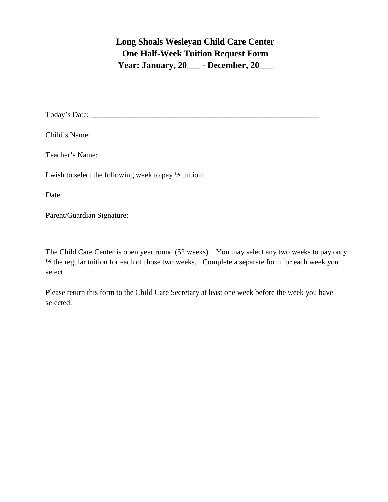#### **Long Shoals Wesleyan Child Care Center One Half-Week Tuition Request Form Year: January, 20\_\_\_ - December, 20\_\_\_**

| I wish to select the following week to pay $\frac{1}{2}$ tuition: |
|-------------------------------------------------------------------|
|                                                                   |
| Parent/Guardian Signature: New York 1988 and 2008.                |

The Child Care Center is open year round (52 weeks). You may select any two weeks to pay only ½ the regular tuition for each of those two weeks. Complete a separate form for each week you select.

Please return this form to the Child Care Secretary at least one week before the week you have selected.